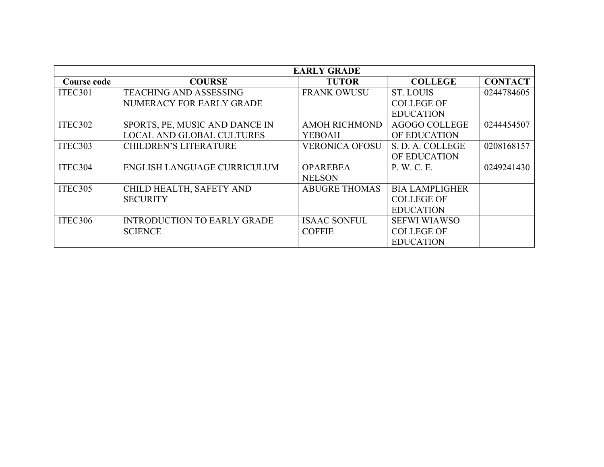|             | <b>EARLY GRADE</b>                 |                       |                       |                |
|-------------|------------------------------------|-----------------------|-----------------------|----------------|
| Course code | <b>COURSE</b>                      | <b>TUTOR</b>          | <b>COLLEGE</b>        | <b>CONTACT</b> |
| ITEC301     | <b>TEACHING AND ASSESSING</b>      | <b>FRANK OWUSU</b>    | ST. LOUIS             | 0244784605     |
|             | NUMERACY FOR EARLY GRADE           |                       | <b>COLLEGE OF</b>     |                |
|             |                                    |                       | <b>EDUCATION</b>      |                |
| ITEC302     | SPORTS, PE, MUSIC AND DANCE IN     | <b>AMOH RICHMOND</b>  | <b>AGOGO COLLEGE</b>  | 0244454507     |
|             | <b>LOCAL AND GLOBAL CULTURES</b>   | <b>YEBOAH</b>         | OF EDUCATION          |                |
| ITEC303     | <b>CHILDREN'S LITERATURE</b>       | <b>VERONICA OFOSU</b> | S. D. A. COLLEGE      | 0208168157     |
|             |                                    |                       | OF EDUCATION          |                |
| ITEC304     | ENGLISH LANGUAGE CURRICULUM        | <b>OPAREBEA</b>       | P. W. C. E.           | 0249241430     |
|             |                                    | <b>NELSON</b>         |                       |                |
| ITEC305     | CHILD HEALTH, SAFETY AND           | <b>ABUGRE THOMAS</b>  | <b>BIA LAMPLIGHER</b> |                |
|             | <b>SECURITY</b>                    |                       | <b>COLLEGE OF</b>     |                |
|             |                                    |                       | <b>EDUCATION</b>      |                |
| ITEC306     | <b>INTRODUCTION TO EARLY GRADE</b> | <b>ISAAC SONFUL</b>   | <b>SEFWI WIAWSO</b>   |                |
|             | <b>SCIENCE</b>                     | <b>COFFIE</b>         | <b>COLLEGE OF</b>     |                |
|             |                                    |                       | <b>EDUCATION</b>      |                |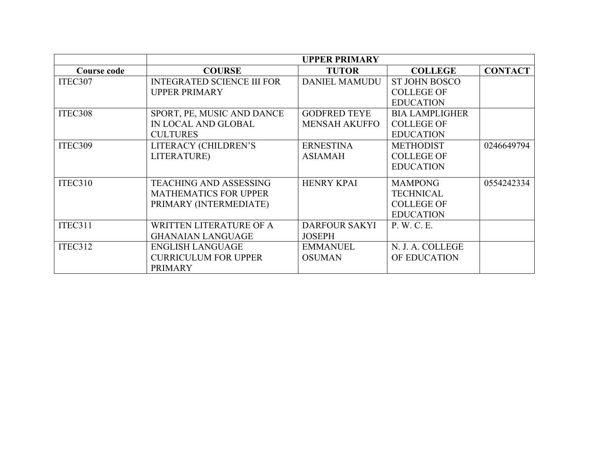|             | <b>UPPER PRIMARY</b>              |                      |                       |                |
|-------------|-----------------------------------|----------------------|-----------------------|----------------|
| Course code | <b>COURSE</b>                     | <b>TUTOR</b>         | <b>COLLEGE</b>        | <b>CONTACT</b> |
| ITEC307     | <b>INTEGRATED SCIENCE III FOR</b> | <b>DANIEL MAMUDU</b> | <b>ST JOHN BOSCO</b>  |                |
|             | <b>UPPER PRIMARY</b>              |                      | <b>COLLEGE OF</b>     |                |
|             |                                   |                      | <b>EDUCATION</b>      |                |
| ITEC308     | SPORT, PE, MUSIC AND DANCE        | <b>GODFRED TEYE</b>  | <b>BIA LAMPLIGHER</b> |                |
|             | IN LOCAL AND GLOBAL               | <b>MENSAH AKUFFO</b> | <b>COLLEGE OF</b>     |                |
|             | <b>CULTURES</b>                   |                      | <b>EDUCATION</b>      |                |
| ITEC309     | LITERACY (CHILDREN'S              | <b>ERNESTINA</b>     | <b>METHODIST</b>      | 0246649794     |
|             | LITERATURE)                       | <b>ASIAMAH</b>       | <b>COLLEGE OF</b>     |                |
|             |                                   |                      | <b>EDUCATION</b>      |                |
| ITEC310     | <b>TEACHING AND ASSESSING</b>     | <b>HENRY KPAI</b>    | <b>MAMPONG</b>        | 0554242334     |
|             | <b>MATHEMATICS FOR UPPER</b>      |                      | <b>TECHNICAL</b>      |                |
|             | PRIMARY (INTERMEDIATE)            |                      | <b>COLLEGE OF</b>     |                |
|             |                                   |                      | <b>EDUCATION</b>      |                |
| ITEC311     | WRITTEN LITERATURE OF A           | <b>DARFOUR SAKYI</b> | P. W. C. E.           |                |
|             | <b>GHANAIAN LANGUAGE</b>          | <b>JOSEPH</b>        |                       |                |
| ITEC312     | <b>ENGLISH LANGUAGE</b>           | <b>EMMANUEL</b>      | N. J. A. COLLEGE      |                |
|             | <b>CURRICULUM FOR UPPER</b>       | <b>OSUMAN</b>        | OF EDUCATION          |                |
|             | <b>PRIMARY</b>                    |                      |                       |                |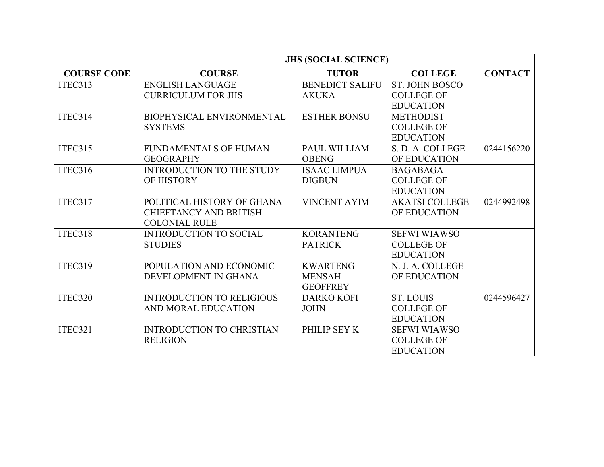|                    | <b>JHS (SOCIAL SCIENCE)</b>      |                        |                       |                |
|--------------------|----------------------------------|------------------------|-----------------------|----------------|
| <b>COURSE CODE</b> | <b>COURSE</b>                    | <b>TUTOR</b>           | <b>COLLEGE</b>        | <b>CONTACT</b> |
| ITEC313            | <b>ENGLISH LANGUAGE</b>          | <b>BENEDICT SALIFU</b> | <b>ST. JOHN BOSCO</b> |                |
|                    | <b>CURRICULUM FOR JHS</b>        | <b>AKUKA</b>           | <b>COLLEGE OF</b>     |                |
|                    |                                  |                        | <b>EDUCATION</b>      |                |
| ITEC314            | <b>BIOPHYSICAL ENVIRONMENTAL</b> | <b>ESTHER BONSU</b>    | <b>METHODIST</b>      |                |
|                    | <b>SYSTEMS</b>                   |                        | <b>COLLEGE OF</b>     |                |
|                    |                                  |                        | <b>EDUCATION</b>      |                |
| ITEC315            | <b>FUNDAMENTALS OF HUMAN</b>     | <b>PAUL WILLIAM</b>    | S. D. A. COLLEGE      | 0244156220     |
|                    | <b>GEOGRAPHY</b>                 | <b>OBENG</b>           | OF EDUCATION          |                |
| ITEC316            | <b>INTRODUCTION TO THE STUDY</b> | <b>ISAAC LIMPUA</b>    | <b>BAGABAGA</b>       |                |
|                    | OF HISTORY                       | <b>DIGBUN</b>          | <b>COLLEGE OF</b>     |                |
|                    |                                  |                        | <b>EDUCATION</b>      |                |
| ITEC317            | POLITICAL HISTORY OF GHANA-      | <b>VINCENT AYIM</b>    | <b>AKATSI COLLEGE</b> | 0244992498     |
|                    | <b>CHIEFTANCY AND BRITISH</b>    |                        | OF EDUCATION          |                |
|                    | <b>COLONIAL RULE</b>             |                        |                       |                |
| ITEC318            | <b>INTRODUCTION TO SOCIAL</b>    | <b>KORANTENG</b>       | <b>SEFWI WIAWSO</b>   |                |
|                    | <b>STUDIES</b>                   | <b>PATRICK</b>         | <b>COLLEGE OF</b>     |                |
|                    |                                  |                        | <b>EDUCATION</b>      |                |
| ITEC319            | POPULATION AND ECONOMIC          | <b>KWARTENG</b>        | N. J. A. COLLEGE      |                |
|                    | DEVELOPMENT IN GHANA             | <b>MENSAH</b>          | OF EDUCATION          |                |
|                    |                                  | <b>GEOFFREY</b>        |                       |                |
| ITEC320            | <b>INTRODUCTION TO RELIGIOUS</b> | <b>DARKO KOFI</b>      | <b>ST. LOUIS</b>      | 0244596427     |
|                    | AND MORAL EDUCATION              | <b>JOHN</b>            | <b>COLLEGE OF</b>     |                |
|                    |                                  |                        | <b>EDUCATION</b>      |                |
| ITEC321            | <b>INTRODUCTION TO CHRISTIAN</b> | PHILIP SEY K           | <b>SEFWI WIAWSO</b>   |                |
|                    | <b>RELIGION</b>                  |                        | <b>COLLEGE OF</b>     |                |
|                    |                                  |                        | <b>EDUCATION</b>      |                |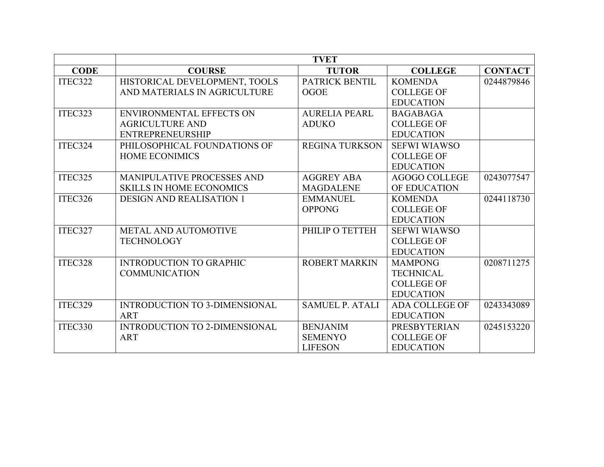|             | <b>TVET</b>                          |                        |                       |                |
|-------------|--------------------------------------|------------------------|-----------------------|----------------|
| <b>CODE</b> | <b>COURSE</b>                        | <b>TUTOR</b>           | <b>COLLEGE</b>        | <b>CONTACT</b> |
| ITEC322     | HISTORICAL DEVELOPMENT, TOOLS        | PATRICK BENTIL         | <b>KOMENDA</b>        | 0244879846     |
|             | AND MATERIALS IN AGRICULTURE         | <b>OGOE</b>            | <b>COLLEGE OF</b>     |                |
|             |                                      |                        | <b>EDUCATION</b>      |                |
| ITEC323     | <b>ENVIRONMENTAL EFFECTS ON</b>      | <b>AURELIA PEARL</b>   | <b>BAGABAGA</b>       |                |
|             | <b>AGRICULTURE AND</b>               | <b>ADUKO</b>           | <b>COLLEGE OF</b>     |                |
|             | <b>ENTREPRENEURSHIP</b>              |                        | <b>EDUCATION</b>      |                |
| ITEC324     | PHILOSOPHICAL FOUNDATIONS OF         | <b>REGINA TURKSON</b>  | <b>SEFWI WIAWSO</b>   |                |
|             | <b>HOME ECONIMICS</b>                |                        | <b>COLLEGE OF</b>     |                |
|             |                                      |                        | <b>EDUCATION</b>      |                |
| ITEC325     | MANIPULATIVE PROCESSES AND           | <b>AGGREY ABA</b>      | <b>AGOGO COLLEGE</b>  | 0243077547     |
|             | <b>SKILLS IN HOME ECONOMICS</b>      | <b>MAGDALENE</b>       | OF EDUCATION          |                |
| ITEC326     | <b>DESIGN AND REALISATION 1</b>      | <b>EMMANUEL</b>        | <b>KOMENDA</b>        | 0244118730     |
|             |                                      | <b>OPPONG</b>          | <b>COLLEGE OF</b>     |                |
|             |                                      |                        | <b>EDUCATION</b>      |                |
| ITEC327     | METAL AND AUTOMOTIVE                 | PHILIP O TETTEH        | <b>SEFWI WIAWSO</b>   |                |
|             | <b>TECHNOLOGY</b>                    |                        | <b>COLLEGE OF</b>     |                |
|             |                                      |                        | <b>EDUCATION</b>      |                |
| ITEC328     | <b>INTRODUCTION TO GRAPHIC</b>       | <b>ROBERT MARKIN</b>   | <b>MAMPONG</b>        | 0208711275     |
|             | <b>COMMUNICATION</b>                 |                        | <b>TECHNICAL</b>      |                |
|             |                                      |                        | <b>COLLEGE OF</b>     |                |
|             |                                      |                        | <b>EDUCATION</b>      |                |
| ITEC329     | <b>INTRODUCTION TO 3-DIMENSIONAL</b> | <b>SAMUEL P. ATALI</b> | <b>ADA COLLEGE OF</b> | 0243343089     |
|             | <b>ART</b>                           |                        | <b>EDUCATION</b>      |                |
| ITEC330     | <b>INTRODUCTION TO 2-DIMENSIONAL</b> | <b>BENJANIM</b>        | <b>PRESBYTERIAN</b>   | 0245153220     |
|             | <b>ART</b>                           | <b>SEMENYO</b>         | <b>COLLEGE OF</b>     |                |
|             |                                      | <b>LIFESON</b>         | <b>EDUCATION</b>      |                |